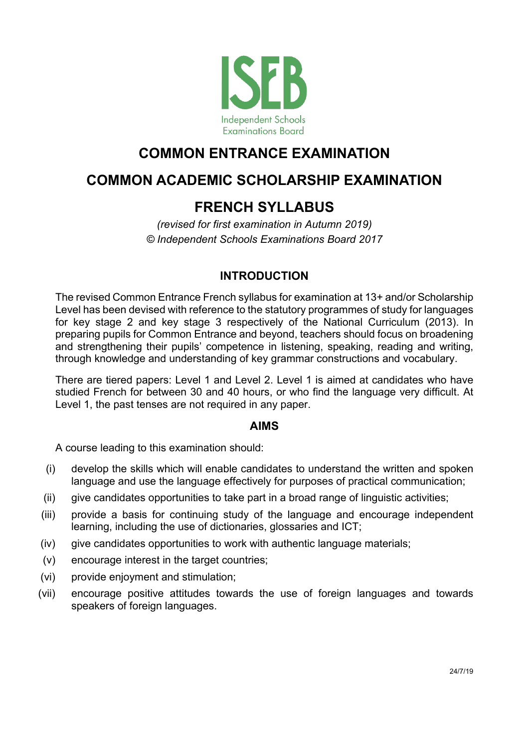

# **COMMON ENTRANCE EXAMINATION**

# **COMMON ACADEMIC SCHOLARSHIP EXAMINATION**

# **FRENCH SYLLABUS**

*(revised for first examination in Autumn 2019) © Independent Schools Examinations Board 2017*

# **INTRODUCTION**

The revised Common Entrance French syllabus for examination at 13+ and/or Scholarship Level has been devised with reference to the statutory programmes of study for languages for key stage 2 and key stage 3 respectively of the National Curriculum (2013). In preparing pupils for Common Entrance and beyond, teachers should focus on broadening and strengthening their pupils' competence in listening, speaking, reading and writing, through knowledge and understanding of key grammar constructions and vocabulary.

There are tiered papers: Level 1 and Level 2. Level 1 is aimed at candidates who have studied French for between 30 and 40 hours, or who find the language very difficult. At Level 1, the past tenses are not required in any paper.

#### **AIMS**

A course leading to this examination should:

- (i) develop the skills which will enable candidates to understand the written and spoken language and use the language effectively for purposes of practical communication;
- (ii) give candidates opportunities to take part in a broad range of linguistic activities;
- (iii) provide a basis for continuing study of the language and encourage independent learning, including the use of dictionaries, glossaries and ICT;
- (iv) give candidates opportunities to work with authentic language materials;
- (v) encourage interest in the target countries;
- (vi) provide enjoyment and stimulation;
- (vii) encourage positive attitudes towards the use of foreign languages and towards speakers of foreign languages.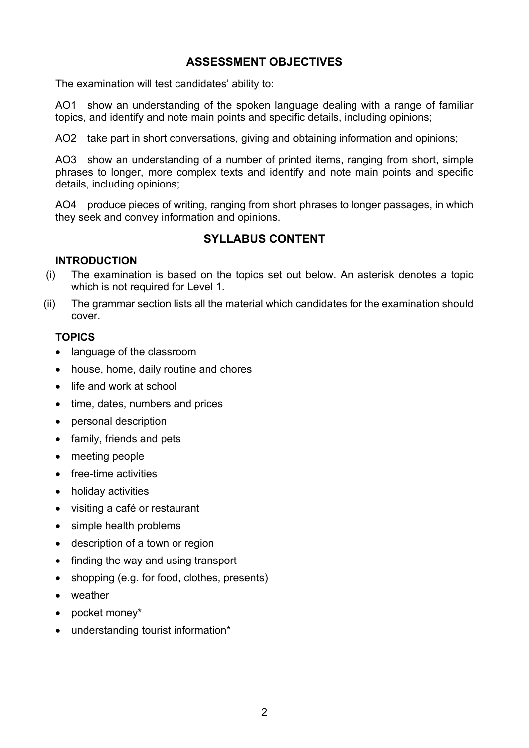# **ASSESSMENT OBJECTIVES**

The examination will test candidates' ability to:

AO1 show an understanding of the spoken language dealing with a range of familiar topics, and identify and note main points and specific details, including opinions;

AO2 take part in short conversations, giving and obtaining information and opinions;

AO3 show an understanding of a number of printed items, ranging from short, simple phrases to longer, more complex texts and identify and note main points and specific details, including opinions;

AO4 produce pieces of writing, ranging from short phrases to longer passages, in which they seek and convey information and opinions.

# **SYLLABUS CONTENT**

#### **INTRODUCTION**

- (i) The examination is based on the topics set out below. An asterisk denotes a topic which is not required for Level 1.
- (ii) The grammar section lists all the material which candidates for the examination should cover.

#### **TOPICS**

- language of the classroom
- house, home, daily routine and chores
- life and work at school
- time, dates, numbers and prices
- personal description
- family, friends and pets
- meeting people
- free-time activities
- holiday activities
- visiting a café or restaurant
- simple health problems
- description of a town or region
- finding the way and using transport
- shopping (e.g. for food, clothes, presents)
- weather
- pocket money\*
- understanding tourist information\*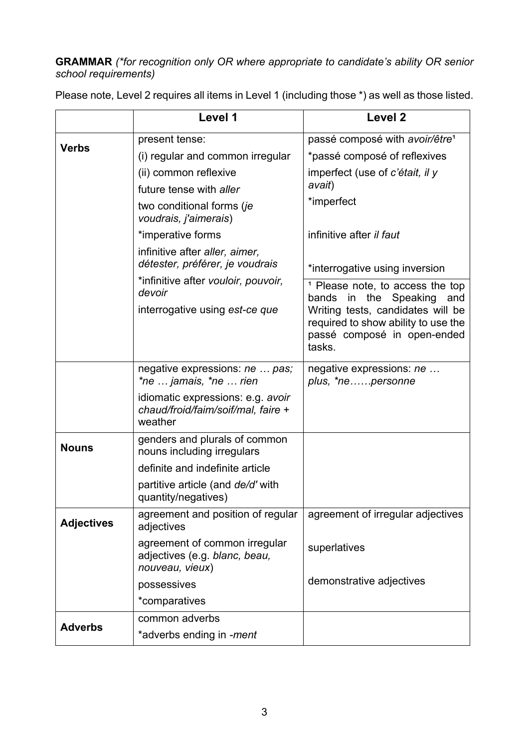# **GRAMMAR** *(\*for recognition only OR where appropriate to candidate's ability OR senior school requirements)*

|                   | Level 1                                                                            | Level <sub>2</sub>                                                                                                |
|-------------------|------------------------------------------------------------------------------------|-------------------------------------------------------------------------------------------------------------------|
|                   | present tense:                                                                     | passé composé with avoir/être <sup>1</sup>                                                                        |
| <b>Verbs</b>      | (i) regular and common irregular                                                   | *passé composé of reflexives                                                                                      |
|                   | (ii) common reflexive                                                              | imperfect (use of c'était, il y                                                                                   |
|                   | future tense with aller                                                            | avait)                                                                                                            |
|                   | two conditional forms (je<br>voudrais, j'aimerais)                                 | *imperfect                                                                                                        |
|                   | *imperative forms                                                                  | infinitive after <i>il faut</i>                                                                                   |
|                   | infinitive after aller, aimer,<br>détester, préférer, je voudrais                  | *interrogative using inversion                                                                                    |
|                   | *infinitive after vouloir, pouvoir,<br>devoir                                      | <sup>1</sup> Please note, to access the top<br>in the<br>Speaking<br>bands<br>and                                 |
|                   | interrogative using est-ce que                                                     | Writing tests, candidates will be<br>required to show ability to use the<br>passé composé in open-ended<br>tasks. |
|                   | negative expressions: ne  pas;<br>*ne  jamais, *ne  rien                           | negative expressions: ne<br>plus, *nepersonne                                                                     |
|                   | idiomatic expressions: e.g. avoir<br>chaud/froid/faim/soif/mal, faire +<br>weather |                                                                                                                   |
| <b>Nouns</b>      | genders and plurals of common<br>nouns including irregulars                        |                                                                                                                   |
|                   | definite and indefinite article                                                    |                                                                                                                   |
|                   | partitive article (and de/d' with<br>quantity/negatives)                           |                                                                                                                   |
| <b>Adjectives</b> | agreement and position of regular<br>adjectives                                    | agreement of irregular adjectives                                                                                 |
|                   | agreement of common irregular<br>adjectives (e.g. blanc, beau,<br>nouveau, vieux)  | superlatives                                                                                                      |
|                   | possessives                                                                        | demonstrative adjectives                                                                                          |
|                   | *comparatives                                                                      |                                                                                                                   |
|                   | common adverbs                                                                     |                                                                                                                   |
| <b>Adverbs</b>    | *adverbs ending in -ment                                                           |                                                                                                                   |

Please note, Level 2 requires all items in Level 1 (including those \*) as well as those listed.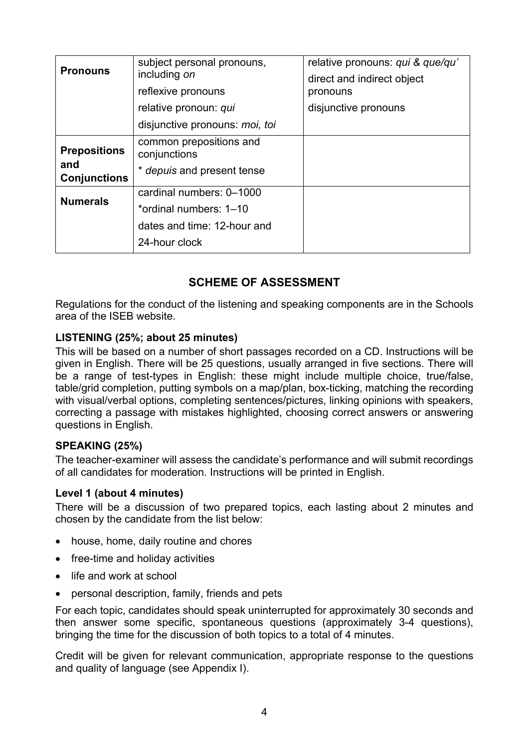| <b>Pronouns</b>            | subject personal pronouns,<br>including on<br>reflexive pronouns | relative pronouns: qui & que/qu'<br>direct and indirect object<br>pronouns |
|----------------------------|------------------------------------------------------------------|----------------------------------------------------------------------------|
|                            | relative pronoun: qui                                            | disjunctive pronouns                                                       |
|                            | disjunctive pronouns: <i>moi</i> , toi                           |                                                                            |
| <b>Prepositions</b>        | common prepositions and<br>conjunctions                          |                                                                            |
| and<br><b>Conjunctions</b> | * depuis and present tense                                       |                                                                            |
| <b>Numerals</b>            | cardinal numbers: 0-1000                                         |                                                                            |
|                            | *ordinal numbers: 1-10                                           |                                                                            |
|                            | dates and time: 12-hour and                                      |                                                                            |
|                            | 24-hour clock                                                    |                                                                            |

# **SCHEME OF ASSESSMENT**

Regulations for the conduct of the listening and speaking components are in the Schools area of the ISEB website.

#### **LISTENING (25%; about 25 minutes)**

This will be based on a number of short passages recorded on a CD. Instructions will be given in English. There will be 25 questions, usually arranged in five sections. There will be a range of test-types in English: these might include multiple choice, true/false, table/grid completion, putting symbols on a map/plan, box-ticking, matching the recording with visual/verbal options, completing sentences/pictures, linking opinions with speakers, correcting a passage with mistakes highlighted, choosing correct answers or answering questions in English.

#### **SPEAKING (25%)**

The teacher-examiner will assess the candidate's performance and will submit recordings of all candidates for moderation. Instructions will be printed in English.

#### **Level 1 (about 4 minutes)**

There will be a discussion of two prepared topics, each lasting about 2 minutes and chosen by the candidate from the list below:

- house, home, daily routine and chores
- free-time and holiday activities
- life and work at school
- personal description, family, friends and pets

For each topic, candidates should speak uninterrupted for approximately 30 seconds and then answer some specific, spontaneous questions (approximately 3-4 questions), bringing the time for the discussion of both topics to a total of 4 minutes.

Credit will be given for relevant communication, appropriate response to the questions and quality of language (see Appendix I).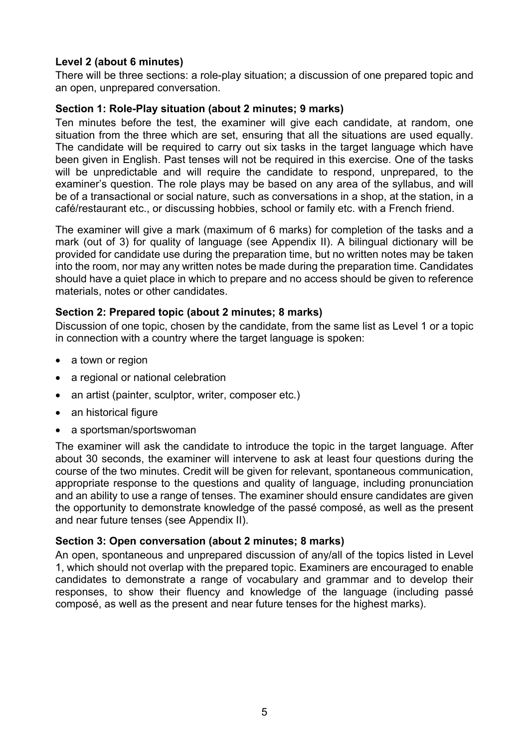#### **Level 2 (about 6 minutes)**

There will be three sections: a role-play situation; a discussion of one prepared topic and an open, unprepared conversation.

#### **Section 1: Role-Play situation (about 2 minutes; 9 marks)**

Ten minutes before the test, the examiner will give each candidate, at random, one situation from the three which are set, ensuring that all the situations are used equally. The candidate will be required to carry out six tasks in the target language which have been given in English. Past tenses will not be required in this exercise. One of the tasks will be unpredictable and will require the candidate to respond, unprepared, to the examiner's question. The role plays may be based on any area of the syllabus, and will be of a transactional or social nature, such as conversations in a shop, at the station, in a café/restaurant etc., or discussing hobbies, school or family etc. with a French friend.

The examiner will give a mark (maximum of 6 marks) for completion of the tasks and a mark (out of 3) for quality of language (see Appendix II). A bilingual dictionary will be provided for candidate use during the preparation time, but no written notes may be taken into the room, nor may any written notes be made during the preparation time. Candidates should have a quiet place in which to prepare and no access should be given to reference materials, notes or other candidates.

#### **Section 2: Prepared topic (about 2 minutes; 8 marks)**

Discussion of one topic, chosen by the candidate, from the same list as Level 1 or a topic in connection with a country where the target language is spoken:

- a town or region
- a regional or national celebration
- an artist (painter, sculptor, writer, composer etc.)
- an historical figure
- a sportsman/sportswoman

The examiner will ask the candidate to introduce the topic in the target language. After about 30 seconds, the examiner will intervene to ask at least four questions during the course of the two minutes. Credit will be given for relevant, spontaneous communication, appropriate response to the questions and quality of language, including pronunciation and an ability to use a range of tenses. The examiner should ensure candidates are given the opportunity to demonstrate knowledge of the passé composé, as well as the present and near future tenses (see Appendix II).

#### **Section 3: Open conversation (about 2 minutes; 8 marks)**

An open, spontaneous and unprepared discussion of any/all of the topics listed in Level 1, which should not overlap with the prepared topic. Examiners are encouraged to enable candidates to demonstrate a range of vocabulary and grammar and to develop their responses, to show their fluency and knowledge of the language (including passé composé, as well as the present and near future tenses for the highest marks).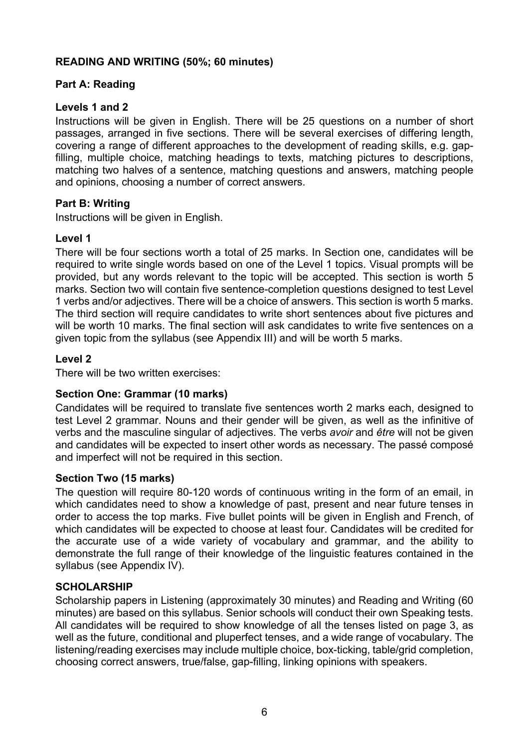#### **READING AND WRITING (50%; 60 minutes)**

#### **Part A: Reading**

#### **Levels 1 and 2**

Instructions will be given in English. There will be 25 questions on a number of short passages, arranged in five sections. There will be several exercises of differing length, covering a range of different approaches to the development of reading skills, e.g. gapfilling, multiple choice, matching headings to texts, matching pictures to descriptions, matching two halves of a sentence, matching questions and answers, matching people and opinions, choosing a number of correct answers.

#### **Part B: Writing**

Instructions will be given in English.

#### **Level 1**

There will be four sections worth a total of 25 marks. In Section one, candidates will be required to write single words based on one of the Level 1 topics. Visual prompts will be provided, but any words relevant to the topic will be accepted. This section is worth 5 marks. Section two will contain five sentence-completion questions designed to test Level 1 verbs and/or adjectives. There will be a choice of answers. This section is worth 5 marks. The third section will require candidates to write short sentences about five pictures and will be worth 10 marks. The final section will ask candidates to write five sentences on a given topic from the syllabus (see Appendix III) and will be worth 5 marks.

#### **Level 2**

There will be two written exercises:

#### **Section One: Grammar (10 marks)**

Candidates will be required to translate five sentences worth 2 marks each, designed to test Level 2 grammar. Nouns and their gender will be given, as well as the infinitive of verbs and the masculine singular of adjectives. The verbs *avoir* and *être* will not be given and candidates will be expected to insert other words as necessary. The passé composé and imperfect will not be required in this section.

#### **Section Two (15 marks)**

The question will require 80-120 words of continuous writing in the form of an email, in which candidates need to show a knowledge of past, present and near future tenses in order to access the top marks. Five bullet points will be given in English and French, of which candidates will be expected to choose at least four. Candidates will be credited for the accurate use of a wide variety of vocabulary and grammar, and the ability to demonstrate the full range of their knowledge of the linguistic features contained in the syllabus (see Appendix IV).

#### **SCHOLARSHIP**

Scholarship papers in Listening (approximately 30 minutes) and Reading and Writing (60 minutes) are based on this syllabus. Senior schools will conduct their own Speaking tests. All candidates will be required to show knowledge of all the tenses listed on page 3, as well as the future, conditional and pluperfect tenses, and a wide range of vocabulary. The listening/reading exercises may include multiple choice, box-ticking, table/grid completion, choosing correct answers, true/false, gap-filling, linking opinions with speakers.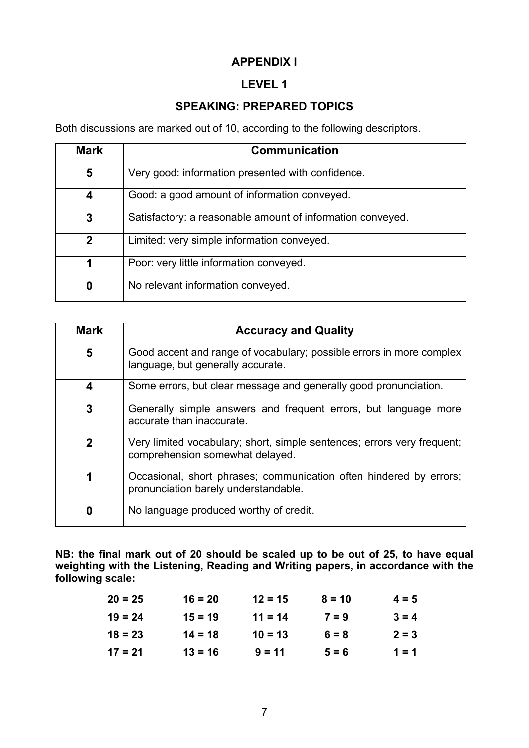# **APPENDIX I**

# **LEVEL 1**

# **SPEAKING: PREPARED TOPICS**

Both discussions are marked out of 10, according to the following descriptors.

| <b>Mark</b> | <b>Communication</b>                                       |
|-------------|------------------------------------------------------------|
| 5           | Very good: information presented with confidence.          |
| 4           | Good: a good amount of information conveyed.               |
| 3           | Satisfactory: a reasonable amount of information conveyed. |
| $\mathbf 2$ | Limited: very simple information conveyed.                 |
| 1           | Poor: very little information conveyed.                    |
| 0           | No relevant information conveyed.                          |

| <b>Mark</b>    | <b>Accuracy and Quality</b>                                                                                |
|----------------|------------------------------------------------------------------------------------------------------------|
| 5              | Good accent and range of vocabulary; possible errors in more complex<br>language, but generally accurate.  |
| 4              | Some errors, but clear message and generally good pronunciation.                                           |
| 3              | Generally simple answers and frequent errors, but language more<br>accurate than inaccurate.               |
| $\overline{2}$ | Very limited vocabulary; short, simple sentences; errors very frequent;<br>comprehension somewhat delayed. |
| 1              | Occasional, short phrases; communication often hindered by errors;<br>pronunciation barely understandable. |
| 0              | No language produced worthy of credit.                                                                     |

**NB: the final mark out of 20 should be scaled up to be out of 25, to have equal weighting with the Listening, Reading and Writing papers, in accordance with the following scale:**

| $20 = 25$ | $16 = 20$ | $12 = 15$ | $8 = 10$ | $4 = 5$ |
|-----------|-----------|-----------|----------|---------|
| $19 = 24$ | $15 = 19$ | $11 = 14$ | $7 = 9$  | $3 = 4$ |
| $18 = 23$ | $14 = 18$ | $10 = 13$ | $6 = 8$  | $2 = 3$ |
| $17 = 21$ | $13 = 16$ | $9 = 11$  | $5 = 6$  | $1 = 1$ |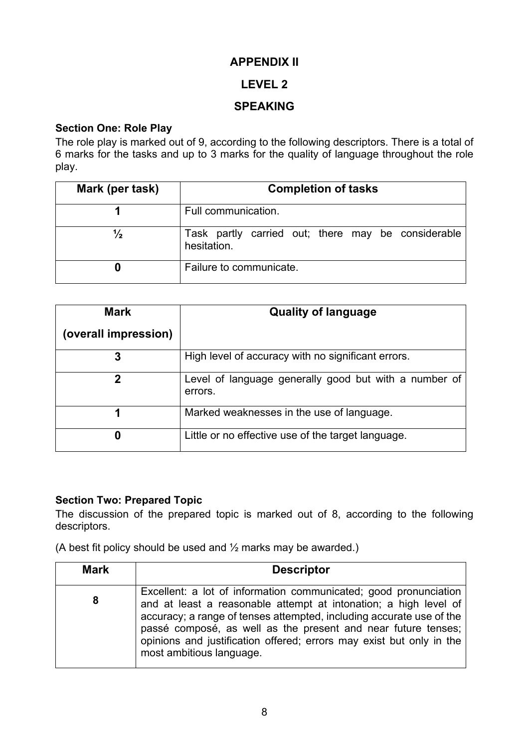## **APPENDIX II**

# **LEVEL 2**

# **SPEAKING**

## **Section One: Role Play**

The role play is marked out of 9, according to the following descriptors. There is a total of 6 marks for the tasks and up to 3 marks for the quality of language throughout the role play.

| Mark (per task) | <b>Completion of tasks</b>                                        |  |
|-----------------|-------------------------------------------------------------------|--|
|                 | Full communication.                                               |  |
| $\frac{1}{2}$   | Task partly carried out; there may be considerable<br>hesitation. |  |
|                 | Failure to communicate.                                           |  |

| <b>Mark</b>          | <b>Quality of language</b>                                       |
|----------------------|------------------------------------------------------------------|
| (overall impression) |                                                                  |
| 3                    | High level of accuracy with no significant errors.               |
| 2                    | Level of language generally good but with a number of<br>errors. |
|                      | Marked weaknesses in the use of language.                        |
| 0                    | Little or no effective use of the target language.               |

#### **Section Two: Prepared Topic**

The discussion of the prepared topic is marked out of 8, according to the following descriptors.

(A best fit policy should be used and  $\frac{1}{2}$  marks may be awarded.)

| <b>Mark</b> | <b>Descriptor</b>                                                                                                                                                                                                                                                                                                                                                                 |
|-------------|-----------------------------------------------------------------------------------------------------------------------------------------------------------------------------------------------------------------------------------------------------------------------------------------------------------------------------------------------------------------------------------|
| 8           | Excellent: a lot of information communicated; good pronunciation<br>and at least a reasonable attempt at intonation; a high level of<br>accuracy; a range of tenses attempted, including accurate use of the<br>passé composé, as well as the present and near future tenses;<br>opinions and justification offered; errors may exist but only in the<br>most ambitious language. |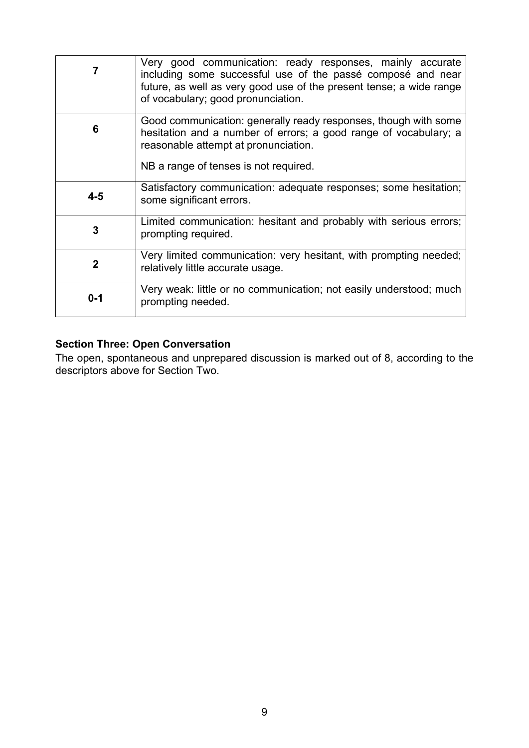|              | Very good communication: ready responses, mainly accurate<br>including some successful use of the passé composé and near<br>future, as well as very good use of the present tense; a wide range<br>of vocabulary; good pronunciation. |
|--------------|---------------------------------------------------------------------------------------------------------------------------------------------------------------------------------------------------------------------------------------|
| 6            | Good communication: generally ready responses, though with some<br>hesitation and a number of errors; a good range of vocabulary; a<br>reasonable attempt at pronunciation.<br>NB a range of tenses is not required.                  |
| $4 - 5$      | Satisfactory communication: adequate responses; some hesitation;<br>some significant errors.                                                                                                                                          |
| 3            | Limited communication: hesitant and probably with serious errors;<br>prompting required.                                                                                                                                              |
| $\mathbf{2}$ | Very limited communication: very hesitant, with prompting needed;<br>relatively little accurate usage.                                                                                                                                |
| $0 - 1$      | Very weak: little or no communication; not easily understood; much<br>prompting needed.                                                                                                                                               |

#### **Section Three: Open Conversation**

The open, spontaneous and unprepared discussion is marked out of 8, according to the descriptors above for Section Two.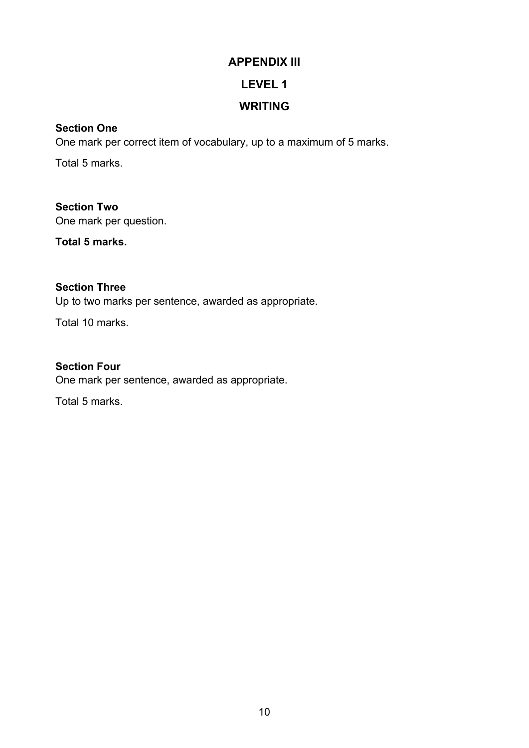# **APPENDIX III LEVEL 1**

# **WRITING**

# **Section One**

One mark per correct item of vocabulary, up to a maximum of 5 marks.

Total 5 marks.

**Section Two** One mark per question.

**Total 5 marks.**

# **Section Three**

Up to two marks per sentence, awarded as appropriate.

Total 10 marks.

# **Section Four**

One mark per sentence, awarded as appropriate.

Total 5 marks.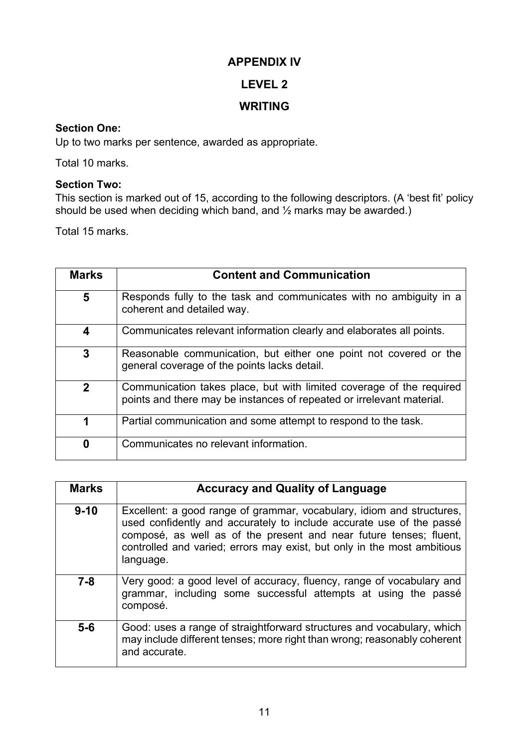#### **APPENDIX IV**

# **LEVEL 2**

# **WRITING**

#### **Section One:**

Up to two marks per sentence, awarded as appropriate.

Total 10 marks.

#### **Section Two:**

This section is marked out of 15, according to the following descriptors. (A 'best fit' policy should be used when deciding which band, and  $\%$  marks may be awarded.)

Total 15 marks.

| <b>Marks</b> | <b>Content and Communication</b>                                                                                                              |
|--------------|-----------------------------------------------------------------------------------------------------------------------------------------------|
| 5            | Responds fully to the task and communicates with no ambiguity in a<br>coherent and detailed way.                                              |
| 4            | Communicates relevant information clearly and elaborates all points.                                                                          |
| 3            | Reasonable communication, but either one point not covered or the<br>general coverage of the points lacks detail.                             |
| $\mathbf{2}$ | Communication takes place, but with limited coverage of the required<br>points and there may be instances of repeated or irrelevant material. |
| 1            | Partial communication and some attempt to respond to the task.                                                                                |
| 0            | Communicates no relevant information.                                                                                                         |

| <b>Marks</b> | <b>Accuracy and Quality of Language</b>                                                                                                                                                                                                                                                                     |
|--------------|-------------------------------------------------------------------------------------------------------------------------------------------------------------------------------------------------------------------------------------------------------------------------------------------------------------|
| $9 - 10$     | Excellent: a good range of grammar, vocabulary, idiom and structures,<br>used confidently and accurately to include accurate use of the passé<br>composé, as well as of the present and near future tenses; fluent,<br>controlled and varied; errors may exist, but only in the most ambitious<br>language. |
| $7 - 8$      | Very good: a good level of accuracy, fluency, range of vocabulary and<br>grammar, including some successful attempts at using the passé<br>composé.                                                                                                                                                         |
| $5-6$        | Good: uses a range of straightforward structures and vocabulary, which<br>may include different tenses; more right than wrong; reasonably coherent<br>and accurate.                                                                                                                                         |